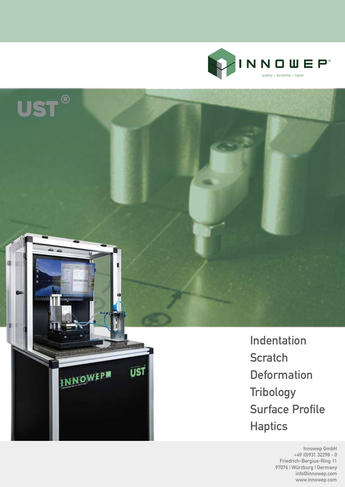

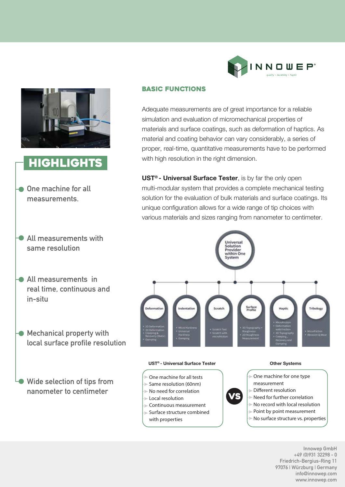



# **HIGHLIGHTS**

- **One machine for all measurements.**
- **All measurements with same resolution**
- **All measurements in real time, continuous and in-situ**
- **Mechanical property with local surface profile resolution**

**Wide selection of tips from nanometer to centimeter**

# Basic Functions

Adequate measurements are of great importance for a reliable simulation and evaluation of micromechanical properties of materials and surface coatings, such as deformation of haptics. As material and coating behavior can vary considerably, a series of proper, real-time, quantitative measurements have to be performed with high resolution in the right dimension.

**UST® - Universal Surface Tester**, is by far the only open multi-modular system that provides a complete mechanical testing solution for the evaluation of bulk materials and surface coatings. Its unique configuration allows for a wide range of tip choices with various materials and sizes ranging from nanometer to centimeter.



#### **UST® - Universal Surface Tester**

- One machine for all tests
- Same resolution (60nm)
- No need for correlation
- Local resolution
- Continuous measurement
- Surface structure combined
- with properties

#### **Other Systems**

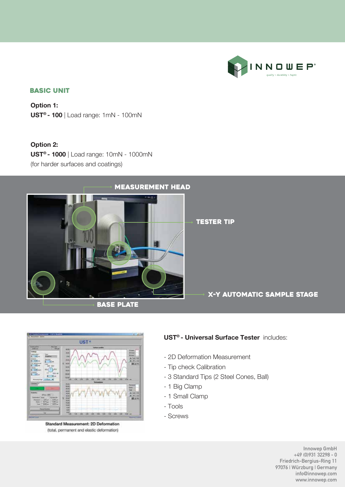

# Basic unit

**Option 1: UST® - 100** | Load range: 1mN - 100mN

**Option 2: UST® - 1000** | Load range: 10mN - 1000mN (for harder surfaces and coatings)





Standard Measurement: 2D Deformation (total, permanent and elastic deformation)

# **UST® - Universal Surface Tester** includes:

- 2D Deformation Measurement
- Tip check Calibration
- 3 Standard Tips (2 Steel Cones, Ball)
- 1 Big Clamp
- 1 Small Clamp
- Tools
- Screws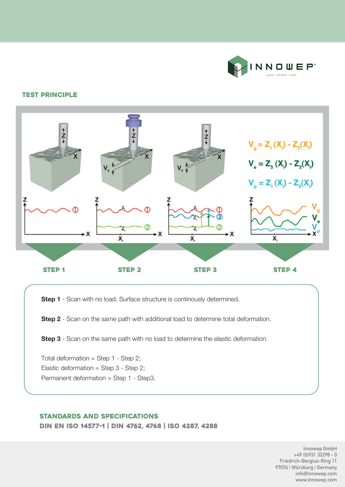

#### test principle



**Step 1** - Scan with no load. Surface structure is continously determined.

**Step 2** - Scan on the same path with additional load to determine total deformation.

**Step 3** - Scan on the same path with no load to determine the elastic deformation.

Total deformation = Step  $1 -$  Step  $2$ ; Elastic deformation = Step  $3 -$  Step  $2$ ; Permanent deformation = Step 1 - Step3.

#### Standards and specifications

din en iso 14577-1 | din 4762, 4768 | iso 4287, 4288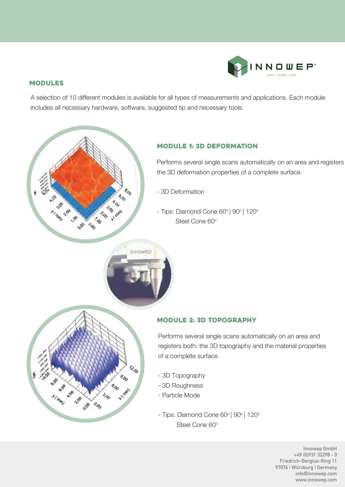

# modules

A selection of 10 different modules is available for all types of measurements and applications. Each module includes all necessary hardware, software, suggested tip and necessary tools.



# module 1: 3d deformation

Performs several single scans automatically on an area and registers the 3D deformation properties of a complete surface.

- 3D Deformation

Innowep

- Tips: Diamond Cone 60° | 90° | 120° Steel Cone 60°



# module 2: 3d topography

Performs several single scans automatically on an area and registers both: the 3D topography and the material properties of a complete surface.

- 3D Topography
- 3D Roughness
- Particle Mode
- Tips: Diamond Cone 60° | 90° | 120° Steel Cone 60°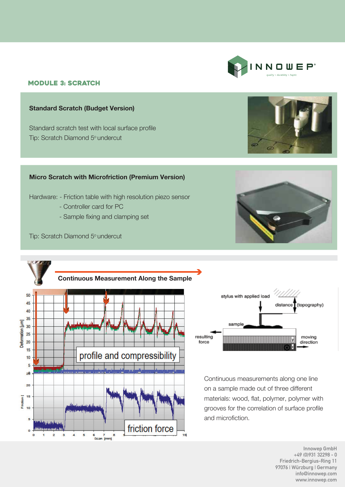#### module 3: scratch

#### **Standard Scratch (Budget Version)**

Standard scratch test with local surface profile Tip: Scratch Diamond 5° undercut

#### **Micro Scratch with Microfriction (Premium Version)**

Hardware: - Friction table with high resolution piezo sensor

- Controller card for PC
- Sample fixing and clamping set

Tip: Scratch Diamond 5° undercut

V.V.V

50

45

40 35

30 25

20

15

10 5  $2\theta$ 

20 15 Friction [ 10  $\overline{\mathbf{s}}$ 

 $\circ$ 

Deformation [µm]



friction force

15



Continuous measurements along one line on a sample made out of three different materials: wood, flat, polymer, polymer with grooves for the correlation of surface profile and microfiction.





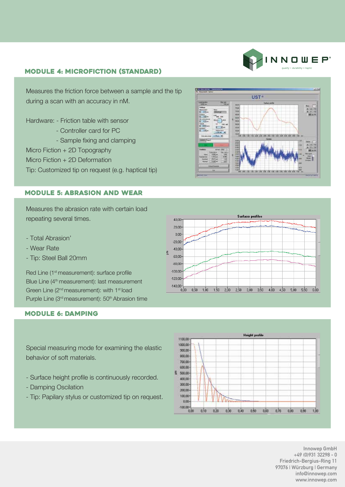# NNOUEP

### module 4: microfiction (standard)

Measures the friction force between a sample and the tip during a scan with an accuracy in nM.

Hardware: - Friction table with sensor

- Controller card for PC
- Sample fixing and clamping
- Micro Fiction + 2D Topography
- Micro Fiction + 2D Deformation
- Tip: Customized tip on request (e.g. haptical tip)

#### module 5: abrasion and wear

Measures the abrasion rate with certain load repeating several times.

- Total Abrasion'
- Wear Rate
- Tip: Steel Ball 20mm

Red Line (1<sup>st</sup> measurement): surface profile Blue Line (4<sup>th</sup> measurement): last measurement Green Line (2<sup>nd</sup> measurement): with 1<sup>st</sup> load Purple Line (3<sup>rd</sup> measurement): 50<sup>th</sup> Abrasion time

#### module 6: damping

Special measuring mode for examining the elastic behavior of soft materials.

- Surface height profile is continuously recorded.
- Damping Oscilation
- Tip: Papilary stylus or customized tip on request.





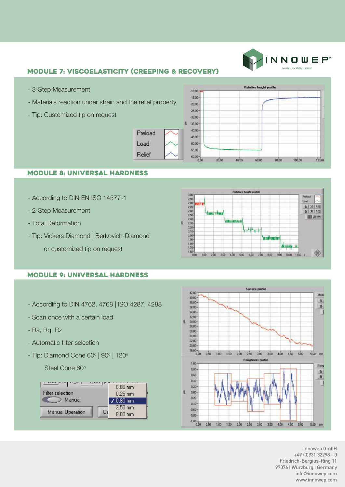

# module 7: viscoelasticity (creeping & recovery)

Preload

Load

Relief

- 3-Step Measurement
- Materials reaction under strain and the relief property
- Tip: Customized tip on request



#### module 8: universal hardness

- According to DIN EN ISO 14577-1
- 2-Step Measurement
- Total Deformation
- Tip: Vickers Diamond | Berkovich-Diamond
	- or customized tip on request

# module 9: universal hardness

- According to DIN 4762, 4768 | ISO 4287, 4288
- Scan once with a certain load
- Ra, Rq, Rz
- Automatic filter selection
- Tip: Diamond Cone 60° | 90° | 120°

Steel Cone 60°





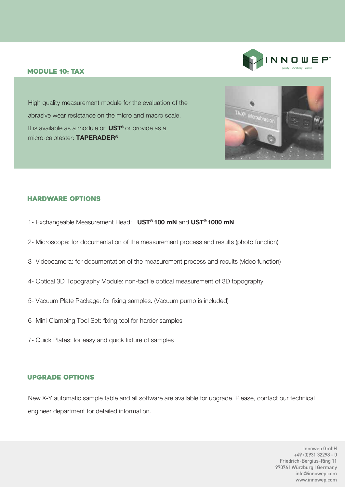#### module 10: TAX



High quality measurement module for the evaluation of the abrasive wear resistance on the micro and macro scale. It is available as a module on **UST®** or provide as a micro-calotester: **TAPERADER®**



# hardware options

- 1- Exchangeable Measurement Head: **UST® 100 mN** and **UST® 1000 mN**
- 2- Microscope: for documentation of the measurement process and results (photo function)
- 3- Videocamera: for documentation of the measurement process and results (video function)
- 4- Optical 3D Topography Module: non-tactile optical measurement of 3D topography
- 5- Vacuum Plate Package: for fixing samples. (Vacuum pump is included)
- 6- Mini-Clamping Tool Set: fixing tool for harder samples
- 7- Quick Plates: for easy and quick fixture of samples

#### upgrade options

New X-Y automatic sample table and all software are available for upgrade. Please, contact our technical engineer department for detailed information.